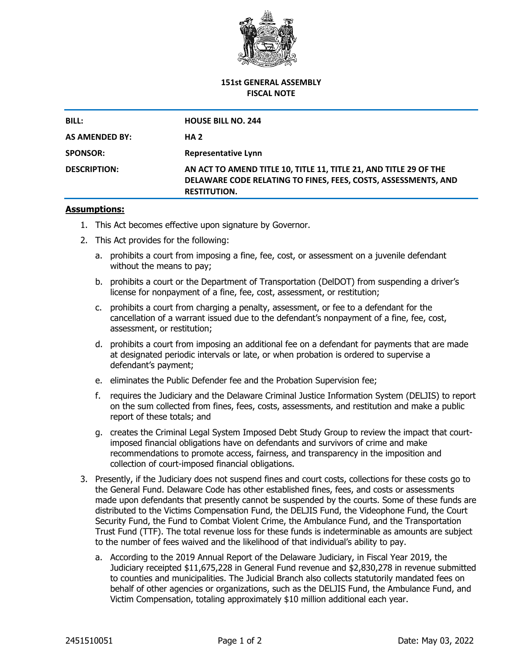

## **151st GENERAL ASSEMBLY FISCAL NOTE**

| <b>BILL:</b>        | <b>HOUSE BILL NO. 244</b>                                                                                                                                  |
|---------------------|------------------------------------------------------------------------------------------------------------------------------------------------------------|
| AS AMENDED BY:      | HA 2                                                                                                                                                       |
| <b>SPONSOR:</b>     | <b>Representative Lynn</b>                                                                                                                                 |
| <b>DESCRIPTION:</b> | AN ACT TO AMEND TITLE 10, TITLE 11, TITLE 21, AND TITLE 29 OF THE<br>DELAWARE CODE RELATING TO FINES, FEES, COSTS, ASSESSMENTS, AND<br><b>RESTITUTION.</b> |

## **Assumptions:**

- 1. This Act becomes effective upon signature by Governor.
- 2. This Act provides for the following:
	- a. prohibits a court from imposing a fine, fee, cost, or assessment on a juvenile defendant without the means to pay;
	- b. prohibits a court or the Department of Transportation (DelDOT) from suspending a driver's license for nonpayment of a fine, fee, cost, assessment, or restitution;
	- c. prohibits a court from charging a penalty, assessment, or fee to a defendant for the cancellation of a warrant issued due to the defendant's nonpayment of a fine, fee, cost, assessment, or restitution;
	- d. prohibits a court from imposing an additional fee on a defendant for payments that are made at designated periodic intervals or late, or when probation is ordered to supervise a defendant's payment;
	- e. eliminates the Public Defender fee and the Probation Supervision fee;
	- f. requires the Judiciary and the Delaware Criminal Justice Information System (DELJIS) to report on the sum collected from fines, fees, costs, assessments, and restitution and make a public report of these totals; and
	- g. creates the Criminal Legal System Imposed Debt Study Group to review the impact that courtimposed financial obligations have on defendants and survivors of crime and make recommendations to promote access, fairness, and transparency in the imposition and collection of court-imposed financial obligations.
- 3. Presently, if the Judiciary does not suspend fines and court costs, collections for these costs go to the General Fund. Delaware Code has other established fines, fees, and costs or assessments made upon defendants that presently cannot be suspended by the courts. Some of these funds are distributed to the Victims Compensation Fund, the DELJIS Fund, the Videophone Fund, the Court Security Fund, the Fund to Combat Violent Crime, the Ambulance Fund, and the Transportation Trust Fund (TTF). The total revenue loss for these funds is indeterminable as amounts are subject to the number of fees waived and the likelihood of that individual's ability to pay.
	- a. According to the 2019 Annual Report of the Delaware Judiciary, in Fiscal Year 2019, the Judiciary receipted \$11,675,228 in General Fund revenue and \$2,830,278 in revenue submitted to counties and municipalities. The Judicial Branch also collects statutorily mandated fees on behalf of other agencies or organizations, such as the DELJIS Fund, the Ambulance Fund, and Victim Compensation, totaling approximately \$10 million additional each year.